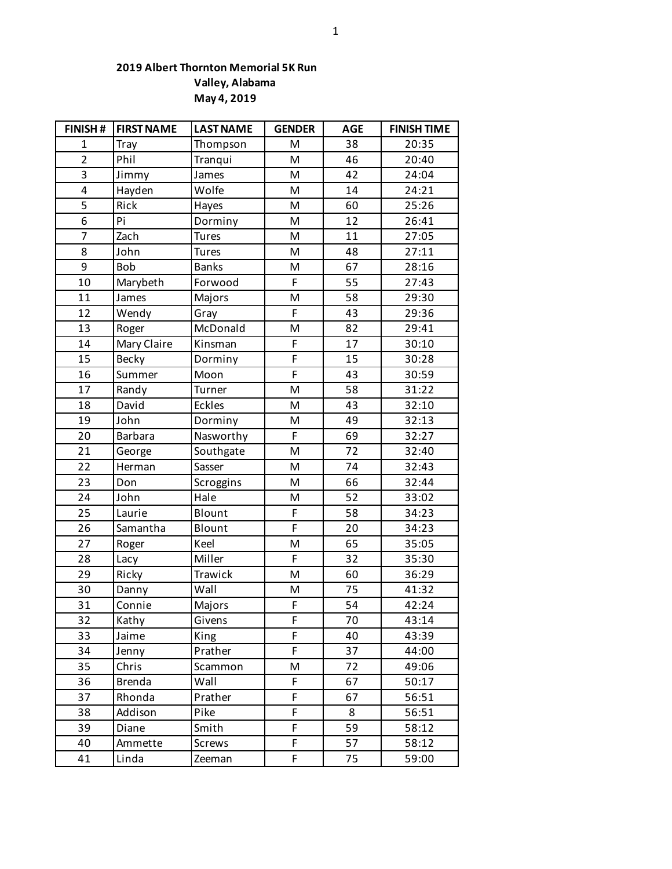## **2019 Albert Thornton Memorial 5K Run Valley, Alabama May 4, 2019**

| FINISH#        | <b>FIRST NAME</b> | <b>LAST NAME</b> | <b>GENDER</b> | <b>AGE</b> | <b>FINISH TIME</b> |
|----------------|-------------------|------------------|---------------|------------|--------------------|
| $\mathbf{1}$   | Tray              | Thompson         | M             | 38         | 20:35              |
| $\overline{2}$ | Phil              | Tranqui          | M             | 46         | 20:40              |
| 3              | Jimmy             | James            | M             | 42         | 24:04              |
| 4              | Hayden            | Wolfe            | M             | 14         | 24:21              |
| 5              | Rick              | Hayes            | M             | 60         | 25:26              |
| 6              | Pi                | Dorminy          | M             | 12         | 26:41              |
| $\overline{7}$ | Zach              | <b>Tures</b>     | M             | 11         | 27:05              |
| 8              | John              | <b>Tures</b>     | M             | 48         | 27:11              |
| 9              | Bob               | <b>Banks</b>     | M             | 67         | 28:16              |
| 10             | Marybeth          | Forwood          | F             | 55         | 27:43              |
| 11             | James             | Majors           | M             | 58         | 29:30              |
| 12             | Wendy             | Gray             | F             | 43         | 29:36              |
| 13             | Roger             | McDonald         | M             | 82         | 29:41              |
| 14             | Mary Claire       | Kinsman          | F             | 17         | 30:10              |
| 15             | Becky             | Dorminy          | F             | 15         | 30:28              |
| 16             | Summer            | Moon             | F             | 43         | 30:59              |
| 17             | Randy             | Turner           | M             | 58         | 31:22              |
| 18             | David             | Eckles           | M             | 43         | 32:10              |
| 19             | John              | Dorminy          | M             | 49         | 32:13              |
| 20             | <b>Barbara</b>    | Nasworthy        | F             | 69         | 32:27              |
| 21             | George            | Southgate        | M             | 72         | 32:40              |
| 22             | Herman            | Sasser           | M             | 74         | 32:43              |
| 23             | Don               | Scroggins        | M             | 66         | 32:44              |
| 24             | John              | Hale             | M             | 52         | 33:02              |
| 25             | Laurie            | Blount           | F             | 58         | 34:23              |
| 26             | Samantha          | Blount           | F             | 20         | 34:23              |
| 27             | Roger             | Keel             | M             | 65         | 35:05              |
| 28             | Lacy              | Miller           | F             | 32         | 35:30              |
| 29             | Ricky             | Trawick          | M             | 60         | 36:29              |
| 30             | Danny             | Wall             | M             | 75         | 41:32              |
| 31             | Connie            | Majors           | $\mathsf F$   | 54         | 42:24              |
| 32             | Kathy             | Givens           | F             | 70         | 43:14              |
| 33             | Jaime             | King             | F             | 40         | 43:39              |
| 34             | Jenny             | Prather          | F             | 37         | 44:00              |
| 35             | Chris             | Scammon          | M             | 72         | 49:06              |
| 36             | <b>Brenda</b>     | Wall             | F             | 67         | 50:17              |
| 37             | Rhonda            | Prather          | F             | 67         | 56:51              |
| 38             | Addison           | Pike             | F             | 8          | 56:51              |
| 39             | Diane             | Smith            | F             | 59         | 58:12              |
| 40             | Ammette           | Screws           | F             | 57         | 58:12              |
| 41             | Linda             | Zeeman           | F             | 75         | 59:00              |